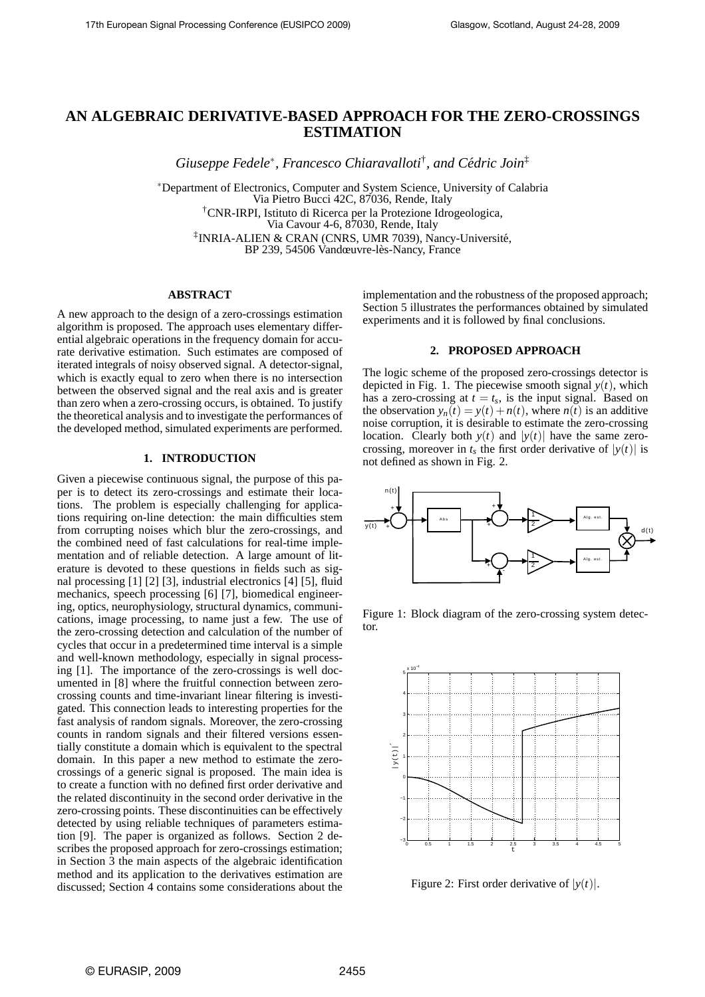# **AN ALGEBRAIC DERIVATIVE-BASED APPROACH FOR THE ZERO-CROSSINGS ESTIMATION**

*Giuseppe Fedele*<sup>∗</sup> *, Francesco Chiaravalloti*† *, and Cedric Join ´* ‡

∗Department of Electronics, Computer and System Science, University of Calabria Via Pietro Bucci 42C, 87036, Rende, Italy †CNR-IRPI, Istituto di Ricerca per la Protezione Idrogeologica, Via Cavour 4-6, 87030, Rende, Italy ‡ INRIA-ALIEN & CRAN (CNRS, UMR 7039), Nancy-Universite,´

BP 239, 54506 Vandœuvre-lès-Nancy, France

## **ABSTRACT**

A new approach to the design of a zero-crossings estimation algorithm is proposed. The approach uses elementary differential algebraic operations in the frequency domain for accurate derivative estimation. Such estimates are composed of iterated integrals of noisy observed signal. A detector-signal, which is exactly equal to zero when there is no intersection between the observed signal and the real axis and is greater than zero when a zero-crossing occurs, is obtained. To justify the theoretical analysis and to investigate the performances of the developed method, simulated experiments are performed.

## **1. INTRODUCTION**

Given a piecewise continuous signal, the purpose of this paper is to detect its zero-crossings and estimate their locations. The problem is especially challenging for applications requiring on-line detection: the main difficulties stem from corrupting noises which blur the zero-crossings, and the combined need of fast calculations for real-time implementation and of reliable detection. A large amount of literature is devoted to these questions in fields such as signal processing [1] [2] [3], industrial electronics [4] [5], fluid mechanics, speech processing [6] [7], biomedical engineering, optics, neurophysiology, structural dynamics, communications, image processing, to name just a few. The use of the zero-crossing detection and calculation of the number of cycles that occur in a predetermined time interval is a simple and well-known methodology, especially in signal processing [1]. The importance of the zero-crossings is well documented in [8] where the fruitful connection between zerocrossing counts and time-invariant linear filtering is investigated. This connection leads to interesting properties for the fast analysis of random signals. Moreover, the zero-crossing counts in random signals and their filtered versions essentially constitute a domain which is equivalent to the spectral domain. In this paper a new method to estimate the zerocrossings of a generic signal is proposed. The main idea is to create a function with no defined first order derivative and the related discontinuity in the second order derivative in the zero-crossing points. These discontinuities can be effectively detected by using reliable techniques of parameters estimation [9]. The paper is organized as follows. Section 2 describes the proposed approach for zero-crossings estimation; in Section 3 the main aspects of the algebraic identification method and its application to the derivatives estimation are discussed; Section 4 contains some considerations about the

implementation and the robustness of the proposed approach; Section 5 illustrates the performances obtained by simulated experiments and it is followed by final conclusions.

## **2. PROPOSED APPROACH**

The logic scheme of the proposed zero-crossings detector is depicted in Fig. 1. The piecewise smooth signal  $y(t)$ , which has a zero-crossing at  $t = t_s$ , is the input signal. Based on the observation  $y_n(t) = y(t) + n(t)$ , where  $n(t)$  is an additive noise corruption, it is desirable to estimate the zero-crossing location. Clearly both  $y(t)$  and  $|y(t)|$  have the same zerocrossing, moreover in  $t_s$  the first order derivative of  $|y(t)|$  is not defined as shown in Fig. 2.



Figure 1: Block diagram of the zero-crossing system detector.



Figure 2: First order derivative of  $|y(t)|$ .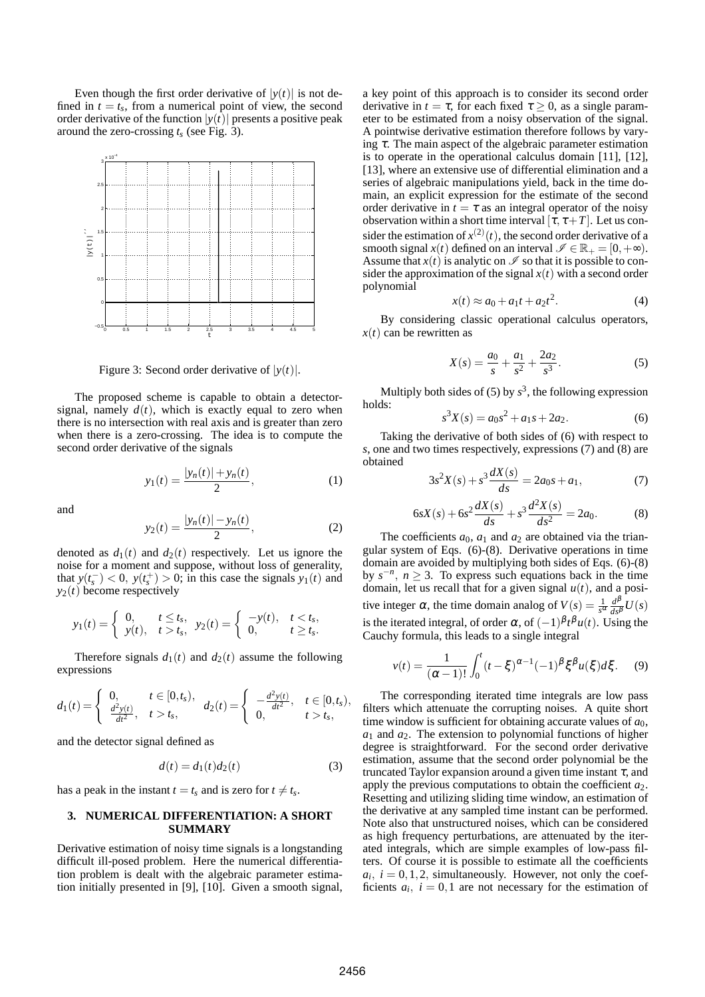Even though the first order derivative of  $|y(t)|$  is not defined in  $t = t_s$ , from a numerical point of view, the second order derivative of the function  $|y(t)|$  presents a positive peak around the zero-crossing *t<sup>s</sup>* (see Fig. 3).



Figure 3: Second order derivative of  $|y(t)|$ .

The proposed scheme is capable to obtain a detectorsignal, namely  $d(t)$ , which is exactly equal to zero when there is no intersection with real axis and is greater than zero when there is a zero-crossing. The idea is to compute the second order derivative of the signals

$$
y_1(t) = \frac{|y_n(t)| + y_n(t)}{2},\tag{1}
$$

and

$$
y_2(t) = \frac{|y_n(t)| - y_n(t)}{2},
$$
 (2)

denoted as  $d_1(t)$  and  $d_2(t)$  respectively. Let us ignore the noise for a moment and suppose, without loss of generality, that  $y(t_s^-) < 0$ ,  $y(t_s^+) > 0$ ; in this case the signals  $y_1(t)$  and  $y_2(t)$  become respectively

$$
y_1(t) = \begin{cases} 0, & t \leq t_s, \\ y(t), & t > t_s, \end{cases} y_2(t) = \begin{cases} -y(t), & t < t_s, \\ 0, & t \geq t_s. \end{cases}
$$

Therefore signals  $d_1(t)$  and  $d_2(t)$  assume the following expressions

$$
d_1(t) = \begin{cases} 0, & t \in [0, t_s), \\ \frac{d^2 y(t)}{dt^2}, & t > t_s, \end{cases} \quad d_2(t) = \begin{cases} -\frac{d^2 y(t)}{dt^2}, & t \in [0, t_s), \\ 0, & t > t_s, \end{cases}
$$

and the detector signal defined as

$$
d(t) = d_1(t)d_2(t) \tag{3}
$$

has a peak in the instant  $t = t_s$  and is zero for  $t \neq t_s$ .

## **3. NUMERICAL DIFFERENTIATION: A SHORT SUMMARY**

Derivative estimation of noisy time signals is a longstanding difficult ill-posed problem. Here the numerical differentiation problem is dealt with the algebraic parameter estimation initially presented in [9], [10]. Given a smooth signal,

a key point of this approach is to consider its second order derivative in  $t = \tau$ , for each fixed  $\tau > 0$ , as a single parameter to be estimated from a noisy observation of the signal. A pointwise derivative estimation therefore follows by varying  $\tau$ . The main aspect of the algebraic parameter estimation is to operate in the operational calculus domain [11], [12], [13], where an extensive use of differential elimination and a series of algebraic manipulations yield, back in the time domain, an explicit expression for the estimate of the second order derivative in  $t = \tau$  as an integral operator of the noisy observation within a short time interval  $[\tau, \tau+T]$ . Let us consider the estimation of  $x^{(2)}(t)$ , the second order derivative of a smooth signal  $x(t)$  defined on an interval  $\mathscr{I} \in \mathbb{R}_+ = [0, +\infty)$ . Assume that  $x(t)$  is analytic on  $\mathscr I$  so that it is possible to consider the approximation of the signal  $x(t)$  with a second order polynomial

$$
x(t) \approx a_0 + a_1 t + a_2 t^2. \tag{4}
$$

By considering classic operational calculus operators,  $x(t)$  can be rewritten as

$$
X(s) = \frac{a_0}{s} + \frac{a_1}{s^2} + \frac{2a_2}{s^3}.
$$
 (5)

Multiply both sides of  $(5)$  by  $s^3$ , the following expression holds:

$$
s^3X(s) = a_0s^2 + a_1s + 2a_2.
$$
 (6)

Taking the derivative of both sides of (6) with respect to *s*, one and two times respectively, expressions (7) and (8) are obtained *dX*(*s*)

$$
3s2X(s) + s3\frac{dX(s)}{ds} = 2a0s + a1,
$$
 (7)

$$
6sX(s) + 6s^2\frac{dX(s)}{ds} + s^3\frac{d^2X(s)}{ds^2} = 2a_0.
$$
 (8)

The coefficients  $a_0$ ,  $a_1$  and  $a_2$  are obtained via the triangular system of Eqs. (6)-(8). Derivative operations in time domain are avoided by multiplying both sides of Eqs. (6)-(8) by  $s^{-n}$ ,  $n \geq 3$ . To express such equations back in the time domain, let us recall that for a given signal  $u(t)$ , and a positive integer  $\alpha$ , the time domain analog of  $V(s) = \frac{1}{s^{\alpha}} \frac{d^{\beta}}{ds^{\beta}} U(s)$ is the iterated integral, of order  $\alpha$ , of  $(-1)^{\beta} t^{\beta} u(t)$ . Using the Cauchy formula, this leads to a single integral

$$
v(t) = \frac{1}{(\alpha - 1)!} \int_0^t (t - \xi)^{\alpha - 1} (-1)^{\beta} \xi^{\beta} u(\xi) d\xi.
$$
 (9)

The corresponding iterated time integrals are low pass filters which attenuate the corrupting noises. A quite short time window is sufficient for obtaining accurate values of  $a_0$ ,  $a_1$  and  $a_2$ . The extension to polynomial functions of higher degree is straightforward. For the second order derivative estimation, assume that the second order polynomial be the truncated Taylor expansion around a given time instant  $\tau$ , and apply the previous computations to obtain the coefficient *a*2. Resetting and utilizing sliding time window, an estimation of the derivative at any sampled time instant can be performed. Note also that unstructured noises, which can be considered as high frequency perturbations, are attenuated by the iterated integrals, which are simple examples of low-pass filters. Of course it is possible to estimate all the coefficients  $a_i$ ,  $i = 0, 1, 2$ , simultaneously. However, not only the coefficients  $a_i$ ,  $i = 0, 1$  are not necessary for the estimation of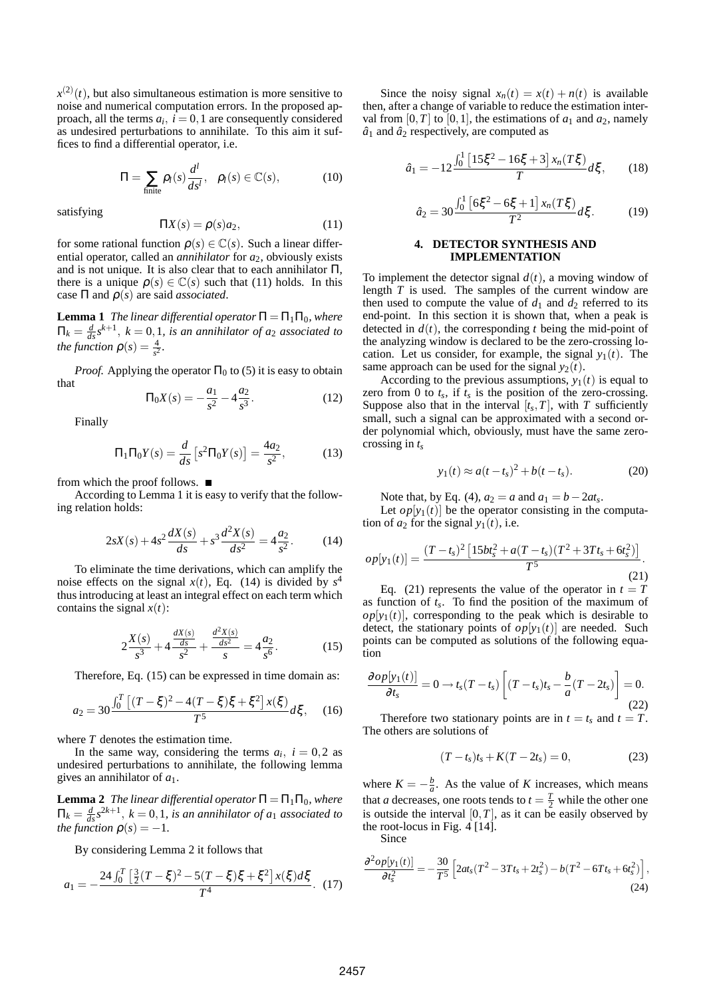$x^{(2)}(t)$ , but also simultaneous estimation is more sensitive to noise and numerical computation errors. In the proposed approach, all the terms  $a_i$ ,  $i = 0, 1$  are consequently considered as undesired perturbations to annihilate. To this aim it suffices to find a differential operator, i.e.

$$
\Pi = \sum_{\text{finite}} \rho_l(s) \frac{d^l}{ds^l}, \quad \rho_l(s) \in \mathbb{C}(s), \tag{10}
$$

satisfying

$$
\Pi X(s) = \rho(s)a_2,\tag{11}
$$

for some rational function  $\rho(s) \in \mathbb{C}(s)$ . Such a linear differential operator, called an *annihilator* for *a*2, obviously exists and is not unique. It is also clear that to each annihilator  $\Pi$ , there is a unique  $\rho(s) \in \mathbb{C}(s)$  such that (11) holds. In this case Π and ρ(*s*) are said *associated*.

**Lemma 1** *The linear differential operator*  $\Pi = \Pi_1 \Pi_0$ *, where*  $\Pi_k = \frac{d}{ds} s^{k+1}$ ,  $k = 0, 1$ , *is an annihilator of a*<sub>2</sub> *associated to the function*  $\rho(s) = \frac{4}{s^2}$ .

*Proof.* Applying the operator  $\Pi_0$  to (5) it is easy to obtain that

$$
\Pi_0 X(s) = -\frac{a_1}{s^2} - 4\frac{a_2}{s^3}.
$$
 (12)

Finally

$$
\Pi_1 \Pi_0 Y(s) = \frac{d}{ds} \left[ s^2 \Pi_0 Y(s) \right] = \frac{4a_2}{s^2},\tag{13}
$$

from which the proof follows.

According to Lemma 1 it is easy to verify that the following relation holds:

$$
2sX(s) + 4s^2\frac{dX(s)}{ds} + s^3\frac{d^2X(s)}{ds^2} = 4\frac{a_2}{s^2}.
$$
 (14)

To eliminate the time derivations, which can amplify the noise effects on the signal  $x(t)$ , Eq. (14) is divided by  $s<sup>4</sup>$ thus introducing at least an integral effect on each term which contains the signal  $x(t)$ :

$$
2\frac{X(s)}{s^3} + 4\frac{\frac{dX(s)}{ds}}{s^2} + \frac{\frac{d^2X(s)}{ds^2}}{s} = 4\frac{a_2}{s^6}.
$$
 (15)

Therefore, Eq. (15) can be expressed in time domain as:

$$
a_2 = 30 \frac{\int_0^T \left[ (T - \xi)^2 - 4(T - \xi)\xi + \xi^2 \right] x(\xi)}{T^5} d\xi, \quad (16)
$$

where *T* denotes the estimation time.

In the same way, considering the terms  $a_i$ ,  $i = 0,2$  as undesired perturbations to annihilate, the following lemma gives an annihilator of *a*1.

**Lemma 2** *The linear differential operator*  $\Pi = \Pi_1 \Pi_0$ *, where*  $\Pi_k = \frac{d}{ds} s^{2k+1}$ ,  $k = 0, 1$ , *is an annihilator of a*<sub>1</sub> *associated to the function*  $\rho(s) = -1$ *.* 

By considering Lemma 2 it follows that

$$
a_1 = -\frac{24\int_0^T \left[\frac{3}{2}(T-\xi)^2 - 5(T-\xi)\xi + \xi^2\right]x(\xi)d\xi}{T^4}.
$$
 (17)

Since the noisy signal  $x_n(t) = x(t) + n(t)$  is available then, after a change of variable to reduce the estimation interval from [0,*T*] to [0,1], the estimations of  $a_1$  and  $a_2$ , namely  $\hat{a}_1$  and  $\hat{a}_2$  respectively, are computed as

$$
\hat{a}_1 = -12 \frac{\int_0^1 \left[ 15\xi^2 - 16\xi + 3 \right] x_n(T\xi)}{T} d\xi, \qquad (18)
$$

$$
\hat{a}_2 = 30 \frac{\int_0^1 \left[ 6\xi^2 - 6\xi + 1 \right] x_n(T\xi)}{T^2} d\xi. \tag{19}
$$

### **4. DETECTOR SYNTHESIS AND IMPLEMENTATION**

To implement the detector signal  $d(t)$ , a moving window of length *T* is used. The samples of the current window are then used to compute the value of  $d_1$  and  $d_2$  referred to its end-point. In this section it is shown that, when a peak is detected in  $d(t)$ , the corresponding *t* being the mid-point of the analyzing window is declared to be the zero-crossing location. Let us consider, for example, the signal  $y_1(t)$ . The same approach can be used for the signal  $y_2(t)$ .

According to the previous assumptions,  $y_1(t)$  is equal to zero from 0 to  $t_s$ , if  $t_s$  is the position of the zero-crossing. Suppose also that in the interval  $[t_s, T]$ , with  $T$  sufficiently small, such a signal can be approximated with a second order polynomial which, obviously, must have the same zerocrossing in *t<sup>s</sup>*

$$
y_1(t) \approx a(t - t_s)^2 + b(t - t_s).
$$
 (20)

Note that, by Eq. (4),  $a_2 = a$  and  $a_1 = b - 2at_s$ .

Let  $op[y_1(t)]$  be the operator consisting in the computation of  $a_2$  for the signal  $y_1(t)$ , i.e.

$$
op[y_1(t)] = \frac{(T-t_s)^2 \left[15bt_s^2 + a(T-t_s)(T^2 + 3Tt_s + 6t_s^2)\right]}{T^5}.
$$
\n(21)

Eq. (21) represents the value of the operator in  $t = T$ as function of *t<sup>s</sup>* . To find the position of the maximum of  $op[y_1(t)]$ , corresponding to the peak which is desirable to detect, the stationary points of  $op[y_1(t)]$  are needed. Such points can be computed as solutions of the following equation

$$
\frac{\partial op[y_1(t)]}{\partial t_s} = 0 \to t_s(T - t_s) \left[ (T - t_s)t_s - \frac{b}{a}(T - 2t_s) \right] = 0.
$$
\n(22)

Therefore two stationary points are in  $t = t_s$  and  $t = T$ . The others are solutions of

$$
(T - t_s)t_s + K(T - 2t_s) = 0,
$$
\n(23)

where  $K = -\frac{b}{a}$ . As the value of *K* increases, which means that *a* decreases, one roots tends to  $t = \frac{T}{2}$  while the other one is outside the interval  $[0, T]$ , as it can be easily observed by the root-locus in Fig.  $4 \overline{141}$ .

Since

$$
\frac{\partial^2 op[y_1(t)]}{\partial t_s^2} = -\frac{30}{T^5} \left[ 2at_s (T^2 - 3Tt_s + 2t_s^2) - b(T^2 - 6Tt_s + 6t_s^2) \right],
$$
\n(24)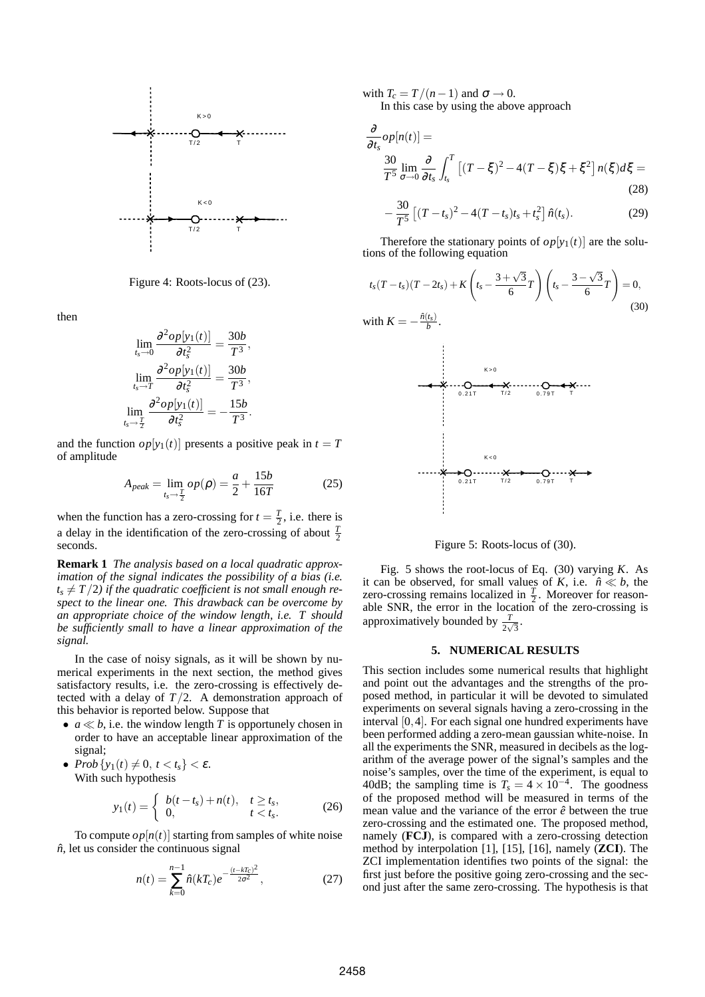

Figure 4: Roots-locus of (23).

then

$$
\lim_{t_s \to 0} \frac{\partial^2 op[y_1(t)]}{\partial t_s^2} = \frac{30b}{T^3},
$$

$$
\lim_{t_s \to T} \frac{\partial^2 op[y_1(t)]}{\partial t_s^2} = \frac{30b}{T^3},
$$

$$
\lim_{t_s \to T} \frac{\partial^2 op[y_1(t)]}{\partial t_s^2} = -\frac{15b}{T^3}.
$$

and the function  $op[y_1(t)]$  presents a positive peak in  $t = T$ of amplitude

$$
A_{peak} = \lim_{t_s \to \frac{T}{2}} op(\rho) = \frac{a}{2} + \frac{15b}{16T}
$$
 (25)

when the function has a zero-crossing for  $t = \frac{T}{2}$ , i.e. there is a delay in the identification of the zero-crossing of about  $\frac{T}{2}$ seconds.

**Remark 1** *The analysis based on a local quadratic approximation of the signal indicates the possibility of a bias (i.e.*  $t_s \neq T/2$ ) if the quadratic coefficient is not small enough re*spect to the linear one. This drawback can be overcome by an appropriate choice of the window length, i.e. T should be sufficiently small to have a linear approximation of the signal.*

In the case of noisy signals, as it will be shown by numerical experiments in the next section, the method gives satisfactory results, i.e. the zero-crossing is effectively detected with a delay of  $T/2$ . A demonstration approach of this behavior is reported below. Suppose that

- $a \ll b$ , i.e. the window length *T* is opportunely chosen in order to have an acceptable linear approximation of the signal;
- $Prob\{y_1(t) \neq 0, t < t_s\} < \varepsilon.$ With such hypothesis

$$
y_1(t) = \begin{cases} b(t - t_s) + n(t), & t \ge t_s, \\ 0, & t < t_s. \end{cases}
$$
 (26)

To compute  $op[n(t)]$  starting from samples of white noise  $\hat{n}$ , let us consider the continuous signal

$$
n(t) = \sum_{k=0}^{n-1} \hat{n}(kT_c)e^{-\frac{(t-kT_c)^2}{2\sigma^2}},
$$
\n(27)

with  $T_c = T/(n-1)$  and  $\sigma \rightarrow 0$ .

In this case by using the above approach

$$
\frac{\partial}{\partial t_s} op[n(t)] =
$$
\n
$$
\frac{30}{T^5} \lim_{\sigma \to 0} \frac{\partial}{\partial t_s} \int_{t_s}^{T} \left[ (T - \xi)^2 - 4(T - \xi)\xi + \xi^2 \right] n(\xi) d\xi =
$$
\n
$$
-\frac{30}{T^5} \left[ (T - t_s)^2 - 4(T - t_s)t_s + t_s^2 \right] \hat{n}(t_s).
$$
\n(29)

Therefore the stationary points of  $op[y_1(t)]$  are the solutions of the following equation

$$
t_s(T - t_s)(T - 2t_s) + K\left(t_s - \frac{3 + \sqrt{3}}{6}T\right)\left(t_s - \frac{3 - \sqrt{3}}{6}T\right) = 0,
$$
\n(30)

with 
$$
K = -\frac{\hat{n}(t_s)}{b}
$$
.



Figure 5: Roots-locus of (30).

Fig. 5 shows the root-locus of Eq. (30) varying *K*. As it can be observed, for small values of *K*, i.e.  $\hat{n} \ll b$ , the zero-crossing remains localized in  $\frac{T}{2}$ . Moreover for reasonable SNR, the error in the location of the zero-crossing is approximatively bounded by  $\frac{T}{2\sqrt{3}}$ .

### **5. NUMERICAL RESULTS**

This section includes some numerical results that highlight and point out the advantages and the strengths of the proposed method, in particular it will be devoted to simulated experiments on several signals having a zero-crossing in the interval [0,4]. For each signal one hundred experiments have been performed adding a zero-mean gaussian white-noise. In all the experiments the SNR, measured in decibels as the logarithm of the average power of the signal's samples and the noise's samples, over the time of the experiment, is equal to 40dB; the sampling time is  $T_s = 4 \times 10^{-4}$ . The goodness of the proposed method will be measured in terms of the mean value and the variance of the error  $\hat{e}$  between the true zero-crossing and the estimated one. The proposed method, namely (**FCJ**), is compared with a zero-crossing detection method by interpolation [1], [15], [16], namely (**ZCI**). The ZCI implementation identifies two points of the signal: the first just before the positive going zero-crossing and the second just after the same zero-crossing. The hypothesis is that